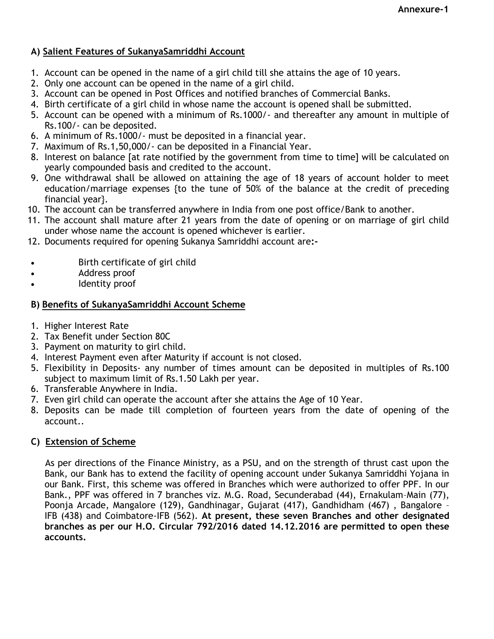### **A) Salient Features of SukanyaSamriddhi Account**

- 1. Account can be opened in the name of a girl child till she attains the age of 10 years.
- 2. Only one account can be opened in the name of a girl child.
- 3. Account can be opened in Post Offices and notified branches of Commercial Banks.
- 4. Birth certificate of a girl child in whose name the account is opened shall be submitted.
- 5. Account can be opened with a minimum of Rs.1000/- and thereafter any amount in multiple of Rs.100/- can be deposited.
- 6. A minimum of Rs.1000/- must be deposited in a financial year.
- 7. Maximum of Rs.1,50,000/- can be deposited in a Financial Year.
- 8. Interest on balance [at rate notified by the government from time to time] will be calculated on yearly compounded basis and credited to the account.
- 9. One withdrawal shall be allowed on attaining the age of 18 years of account holder to meet education/marriage expenses {to the tune of 50% of the balance at the credit of preceding financial year}.
- 10. The account can be transferred anywhere in India from one post office/Bank to another.
- 11. The account shall mature after 21 years from the date of opening or on marriage of girl child under whose name the account is opened whichever is earlier.
- 12. Documents required for opening Sukanya Samriddhi account are**:-**
- Birth certificate of girl child
- Address proof
- Identity proof

# **B) Benefits of SukanyaSamriddhi Account Scheme**

- 1. Higher Interest Rate
- 2. Tax Benefit under Section 80C
- 3. Payment on maturity to girl child.
- 4. Interest Payment even after Maturity if account is not closed.
- 5. Flexibility in Deposits- any number of times amount can be deposited in multiples of Rs.100 subiect to maximum limit of Rs.1.50 Lakh per year.
- 6. Transferable Anywhere in India.
- 7. Even girl child can operate the account after she attains the Age of 10 Year.
- 8. Deposits can be made till completion of fourteen years from the date of opening of the account..

# **C) Extension of Scheme**

As per directions of the Finance Ministry, as a PSU, and on the strength of thrust cast upon the Bank, our Bank has to extend the facility of opening account under Sukanya Samriddhi Yojana in our Bank. First, this scheme was offered in Branches which were authorized to offer PPF. In our Bank., PPF was offered in 7 branches viz. M.G. Road, Secunderabad (44), Ernakulam–Main (77), Poonja Arcade, Mangalore (129), Gandhinagar, Gujarat (417), Gandhidham (467) , Bangalore – IFB (438) and Coimbatore-IFB (562). **At present, these seven Branches and other designated branches as per our H.O. Circular 792/2016 dated 14.12.2016 are permitted to open these accounts.**